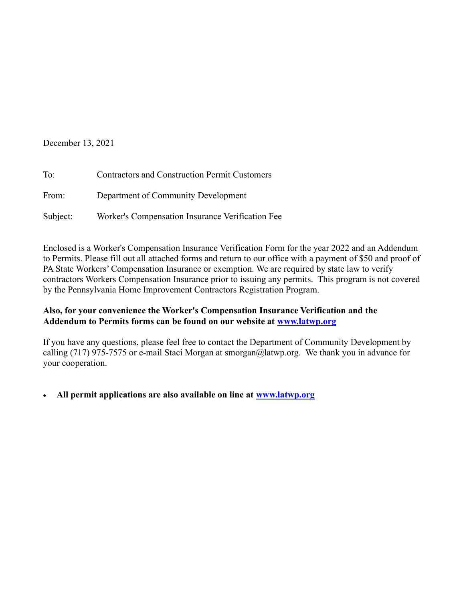## December 13, 2021

| To:      | <b>Contractors and Construction Permit Customers</b> |  |  |
|----------|------------------------------------------------------|--|--|
| From:    | Department of Community Development                  |  |  |
| Subject: | Worker's Compensation Insurance Verification Fee     |  |  |

Enclosed is a Worker's Compensation Insurance Verification Form for the year 2022 and an Addendum to Permits. Please fill out all attached forms and return to our office with a payment of \$50 and proof of PA State Workers' Compensation Insurance or exemption. We are required by state law to verify contractors Workers Compensation Insurance prior to issuing any permits. This program is not covered by the Pennsylvania Home Improvement Contractors Registration Program.

## Also, for your convenience the Worker's Compensation Insurance Verification and the Addendum to Permits forms can be found on our website at www.latwp.org

If you have any questions, please feel free to contact the Department of Community Development by calling (717) 975-7575 or e-mail Staci Morgan at smorgan@latwp.org. We thank you in advance for your cooperation.

All permit applications are also available on line at www.latwp.org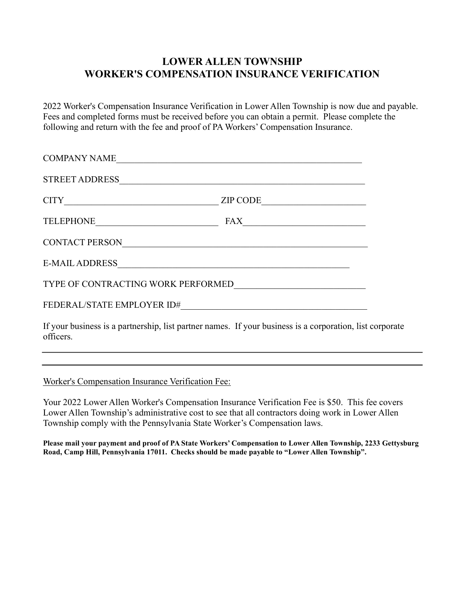## LOWER ALLEN TOWNSHIP WORKER'S COMPENSATION INSURANCE VERIFICATION

2022 Worker's Compensation Insurance Verification in Lower Allen Township is now due and payable. Fees and completed forms must be received before you can obtain a permit. Please complete the following and return with the fee and proof of PA Workers' Compensation Insurance.

| COMPANY NAME                                                                                                                      |                                                               |
|-----------------------------------------------------------------------------------------------------------------------------------|---------------------------------------------------------------|
| <b>STREET ADDRESS</b>                                                                                                             |                                                               |
| CITY                                                                                                                              | ZIP CODE<br><u> 1989 - Johann Barbara, martxa alemaniar a</u> |
| TELEPHONE <b>CONSUMING A PROPERTY AND THE EXPRESSION CONSUMING</b>                                                                | FAX                                                           |
| CONTACT PERSON                                                                                                                    |                                                               |
| E-MAIL ADDRESS                                                                                                                    |                                                               |
| TYPE OF CONTRACTING WORK PERFORMED                                                                                                |                                                               |
| FEDERAL/STATE EMPLOYER ID#                                                                                                        |                                                               |
| $\mathbf{I}$ f second booding and the continuous first production of the contract of the continuous continuous first $\mathbf{I}$ |                                                               |

If your business is a partnership, list partner names. If your business is a corporation, list corporate officers.

Worker's Compensation Insurance Verification Fee:

Your 2022 Lower Allen Worker's Compensation Insurance Verification Fee is \$50. This fee covers Lower Allen Township's administrative cost to see that all contractors doing work in Lower Allen Township comply with the Pennsylvania State Worker's Compensation laws.

Please mail your payment and proof of PA State Workers' Compensation to Lower Allen Township, 2233 Gettysburg Road, Camp Hill, Pennsylvania 17011. Checks should be made payable to "Lower Allen Township".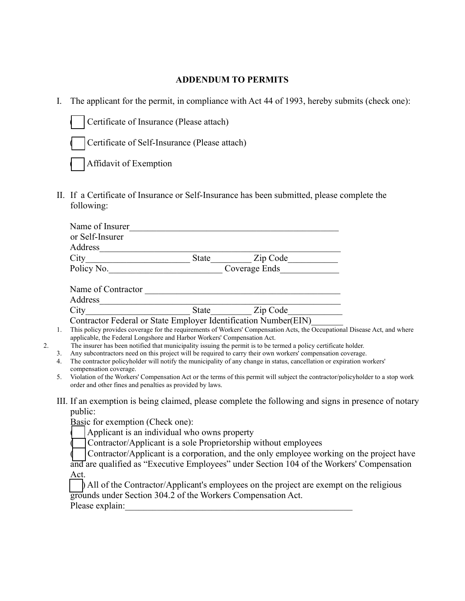## ADDENDUM TO PERMITS

I. The applicant for the permit, in compliance with Act 44 of 1993, hereby submits (check one):

Certificate of Insurance (Please attach)

Certificate of Self-Insurance (Please attach)

Affidavit of Exemption

II. If a Certificate of Insurance or Self-Insurance has been submitted, please complete the following:

| or Self-Insurer |               |          |
|-----------------|---------------|----------|
| Address         |               |          |
| City            | <b>State</b>  | Zip Code |
| Policy No.      | Coverage Ends |          |

| Name of Contractor |       |          |  |
|--------------------|-------|----------|--|
| <b>Address</b>     |       |          |  |
| City               | State | Zip Code |  |

Contractor Federal or State Employer Identification Number(EIN)\_\_\_\_\_\_\_

- 1. This policy provides coverage for the requirements of Workers' Compensation Acts, the Occupational Disease Act, and where applicable, the Federal Longshore and Harbor Workers' Compensation Act.
- 2. The insurer has been notified that municipality issuing the permit is to be termed a policy certificate holder.
	- 3. Any subcontractors need on this project will be required to carry their own workers' compensation coverage.
	- 4. The contractor policyholder will notify the municipality of any change in status, cancellation or expiration workers' compensation coverage.
	- 5. Violation of the Workers' Compensation Act or the terms of this permit will subject the contractor/policyholder to a stop work order and other fines and penalties as provided by laws.
	- III. If an exemption is being claimed, please complete the following and signs in presence of notary public:

Basic for exemption (Check one):

Applicant is an individual who owns property

Contractor/Applicant is a sole Proprietorship without employees

Contractor/Applicant is a corporation, and the only employee working on the project have

and are qualified as "Executive Employees" under Section 104 of the Workers' Compensation Act.

( ) All of the Contractor/Applicant's employees on the project are exempt on the religious grounds under Section 304.2 of the Workers Compensation Act.

Please explain: